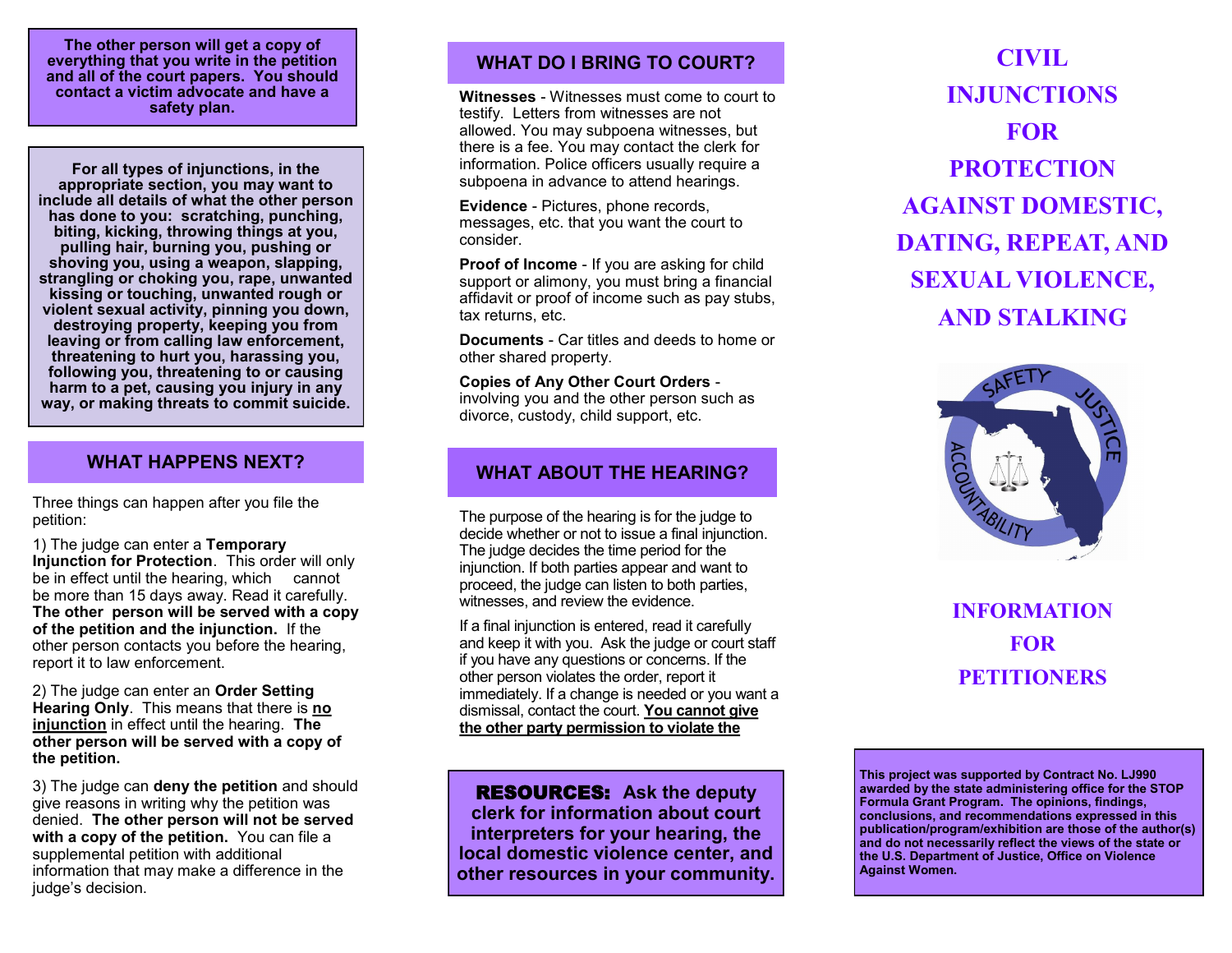**The other person will get a copy of everything that you write in the petition and all of the court papers. You should contact a victim advocate and have a safety plan.**

**For all types of injunctions, in the appropriate section, you may want to include all details of what the other person has done to you: scratching, punching, biting, kicking, throwing things at you, pulling hair, burning you, pushing or shoving you, using a weapon, slapping, strangling or choking you, rape, unwanted kissing or touching, unwanted rough or violent sexual activity, pinning you down, destroying property, keeping you from leaving or from calling law enforcement, threatening to hurt you, harassing you, following you, threatening to or causing harm to a pet, causing you injury in any way, or making threats to commit suicide.**

## **WHAT HAPPENS NEXT?**

Three things can happen after you file the petition:

1) The judge can enter a **Temporary Injunction for Protection**. This order will only be in effect until the hearing, which cannot be more than 15 days away. Read it carefully. **The other person will be served with a copy of the petition and the injunction.** If the other person contacts you before the hearing, report it to law enforcement.

2) The judge can enter an **Order Setting Hearing Only**. This means that there is **no injunction** in effect until the hearing. **The other person will be served with a copy of the petition.**

3) The judge can **deny the petition** and should give reasons in writing why the petition was denied. **The other person will not be served with a copy of the petition.** You can file a supplemental petition with additional information that may make a difference in the judge's decision.

# **WHAT DO I BRING TO COURT?**

**Witnesses** - Witnesses must come to court to testify. Letters from witnesses are not allowed. You may subpoena witnesses, but there is a fee. You may contact the clerk for information. Police officers usually require a subpoena in advance to attend hearings.

**Evidence** - Pictures, phone records, messages, etc. that you want the court to consider.

**Proof of Income** - If you are asking for child support or alimony, you must bring a financial affidavit or proof of income such as pay stubs, tax returns, etc.

**Documents** - Car titles and deeds to home or other shared property.

**Copies of Any Other Court Orders**  involving you and the other person such as divorce, custody, child support, etc.

## **WHAT ABOUT THE HEARING?**

The purpose of the hearing is for the judge to decide whether or not to issue a final injunction. The judge decides the time period for the injunction. If both parties appear and want to proceed, the judge can listen to both parties, witnesses, and review the evidence.

If a final injunction is entered, read it carefully and keep it with you. Ask the judge or court staff if you have any questions or concerns. If the other person violates the order, report it immediately. If a change is needed or you want a dismissal, contact the court. **You cannot give the other party permission to violate the** 

RESOURCES: **Ask the deputy clerk for information about court interpreters for your hearing, the local domestic violence center, and other resources in your community.**

**CIVIL INJUNCTIONS FOR PROTECTION AGAINST DOMESTIC, DATING, REPEAT, AND SEXUAL VIOLENCE, AND STALKING**



**INFORMATION FOR PETITIONERS**

**This project was supported by Contract No. LJ990 awarded by the state administering office for the STOP Formula Grant Program. The opinions, findings, conclusions, and recommendations expressed in this publication/program/exhibition are those of the author(s) and do not necessarily reflect the views of the state or the U.S. Department of Justice, Office on Violence Against Women.**